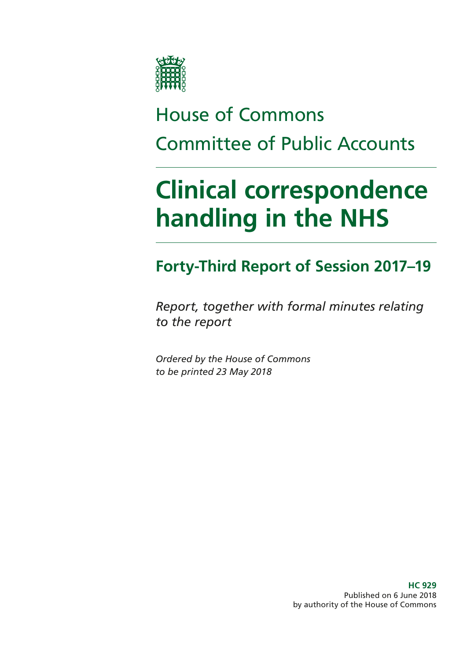

# House of Commons Committee of Public Accounts

# **Clinical correspondence handling in the NHS**

# **Forty-Third Report of Session 2017–19**

*Report, together with formal minutes relating to the report*

*Ordered by the House of Commons to be printed 23 May 2018*

> **HC 929** Published on 6 June 2018 by authority of the House of Commons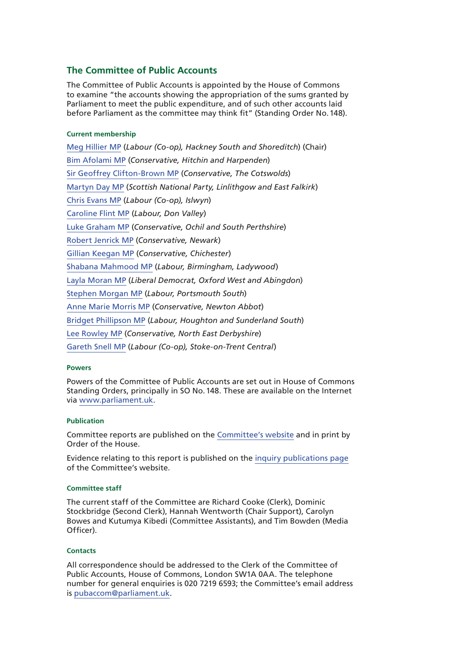### **The Committee of Public Accounts**

The Committee of Public Accounts is appointed by the House of Commons to examine "the accounts showing the appropriation of the sums granted by Parliament to meet the public expenditure, and of such other accounts laid before Parliament as the committee may think fit" (Standing Order No.148).

#### **Current membership**

[Meg Hillier MP](https://www.parliament.uk/biographies/commons/meg-hillier/1524) (*Labour (Co-op), Hackney South and Shoreditch*) (Chair) [Bim Afolami MP](https://www.parliament.uk/biographies/commons/bim-afolami/4639) (*Conservative, Hitchin and Harpenden*) [Sir Geoffrey Clifton-Brown MP](https://www.parliament.uk/biographies/commons/geoffrey-clifton-brown/249) (*Conservative, The Cotswolds*) [Martyn Day MP](https://www.parliament.uk/biographies/commons/martyn-day/4488) (*Scottish National Party, Linlithgow and East Falkirk*) [Chris Evans MP](https://www.parliament.uk/biographies/commons/chris-evans/4040) (*Labour (Co-op), Islwyn*) [Caroline Flint MP](https://www.parliament.uk/biographies/commons/caroline-flint/389) (*Labour, Don Valley*) [Luke Graham MP](https://www.parliament.uk/biographies/commons/luke-graham/4622) (*Conservative, Ochil and South Perthshire*) [Robert Jenrick MP](https://www.parliament.uk/biographies/commons/robert-jenrick/4320) (*Conservative, Newark*) [Gillian Keegan MP](https://www.parliament.uk/biographies/commons/gillian-keegan/4680) (*Conservative, Chichester*) [Shabana Mahmood MP](https://www.parliament.uk/biographies/commons/shabana-mahmood/3914) (*Labour, Birmingham, Ladywood*) [Layla Moran MP](https://www.parliament.uk/biographies/commons/layla-moran/4656) (*Liberal Democrat, Oxford West and Abingdon*) [Stephen Morgan MP](https://www.parliament.uk/biographies/commons/stephen-morgan/4653) (*Labour, Portsmouth South*) [Anne Marie Morris MP](https://www.parliament.uk/biographies/commons/anne-marie-morris/4249) (*Conservative, Newton Abbot*) [Bridget Phillipson MP](https://www.parliament.uk/biographies/commons/bridget-phillipson/4046) (*Labour, Houghton and Sunderland South*) [Lee Rowley MP](https://www.parliament.uk/biographies/commons/lee-rowley/4652) (*Conservative, North East Derbyshire*) [Gareth Snell MP](https://www.parliament.uk/biographies/commons/gareth-snell/4595) (*Labour (Co-op), Stoke-on-Trent Central*)

#### **Powers**

Powers of the Committee of Public Accounts are set out in House of Commons Standing Orders, principally in SO No.148. These are available on the Internet via [www.parliament.uk](https://www.parliament.uk/).

#### **Publication**

Committee reports are published on the [Committee's website](https://www.parliament.uk/business/committees/committees-a-z/commons-select/public-accounts-committee/) and in print by Order of the House.

Evidence relating to this report is published on the [inquiry publications page](https://www.parliament.uk/business/committees/committees-a-z/commons-select/public-accounts-committee/inquiries/parliament-2017/nhs-correspondence-handling-17-19/publications/) of the Committee's website.

#### **Committee staff**

The current staff of the Committee are Richard Cooke (Clerk), Dominic Stockbridge (Second Clerk), Hannah Wentworth (Chair Support), Carolyn Bowes and Kutumya Kibedi (Committee Assistants), and Tim Bowden (Media Officer).

#### **Contacts**

All correspondence should be addressed to the Clerk of the Committee of Public Accounts, House of Commons, London SW1A 0AA. The telephone number for general enquiries is 020 7219 6593; the Committee's email address is [pubaccom@parliament.uk](mailto:pubaccom%40parliament.uk?subject=).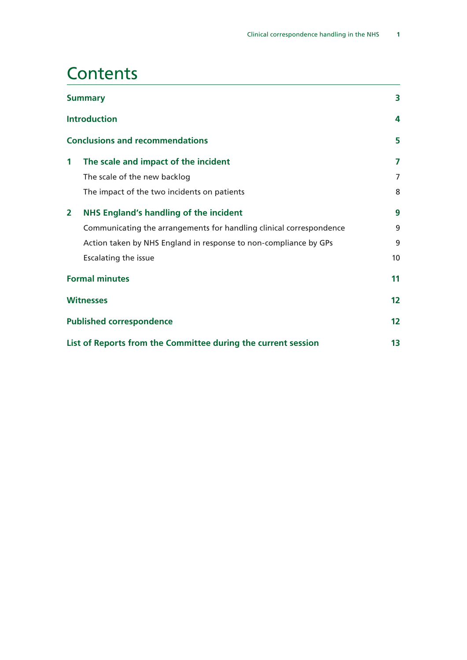## **Contents**

| <b>Summary</b>                                      |                                                                     | 3  |                                                               |
|-----------------------------------------------------|---------------------------------------------------------------------|----|---------------------------------------------------------------|
|                                                     | <b>Introduction</b>                                                 |    |                                                               |
|                                                     | <b>Conclusions and recommendations</b>                              | 5  |                                                               |
| $\mathbf 1$                                         | The scale and impact of the incident                                | 7  |                                                               |
|                                                     | The scale of the new backlog                                        | 7  |                                                               |
|                                                     | The impact of the two incidents on patients                         | 8  |                                                               |
| $\mathbf{2}$                                        | <b>NHS England's handling of the incident</b>                       | 9  |                                                               |
|                                                     | Communicating the arrangements for handling clinical correspondence | 9  |                                                               |
|                                                     | Action taken by NHS England in response to non-compliance by GPs    | 9  |                                                               |
|                                                     | Escalating the issue                                                | 10 |                                                               |
| <b>Formal minutes</b>                               |                                                                     | 11 |                                                               |
| <b>Witnesses</b><br><b>Published correspondence</b> |                                                                     |    |                                                               |
|                                                     |                                                                     |    | List of Reports from the Committee during the current session |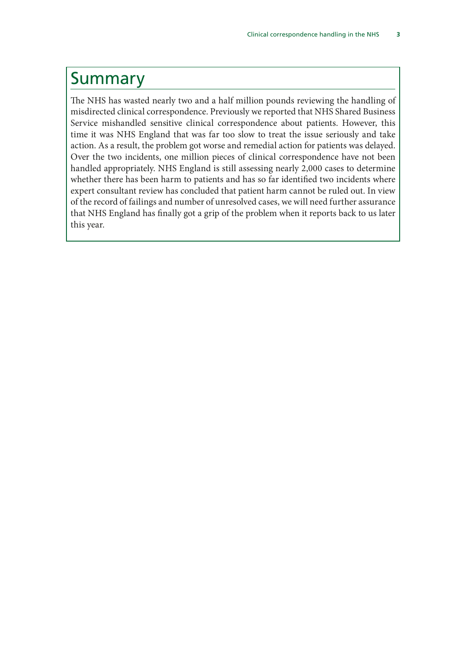### <span id="page-4-0"></span>Summary

The NHS has wasted nearly two and a half million pounds reviewing the handling of misdirected clinical correspondence. Previously we reported that NHS Shared Business Service mishandled sensitive clinical correspondence about patients. However, this time it was NHS England that was far too slow to treat the issue seriously and take action. As a result, the problem got worse and remedial action for patients was delayed. Over the two incidents, one million pieces of clinical correspondence have not been handled appropriately. NHS England is still assessing nearly 2,000 cases to determine whether there has been harm to patients and has so far identified two incidents where expert consultant review has concluded that patient harm cannot be ruled out. In view of the record of failings and number of unresolved cases, we will need further assurance that NHS England has finally got a grip of the problem when it reports back to us later this year.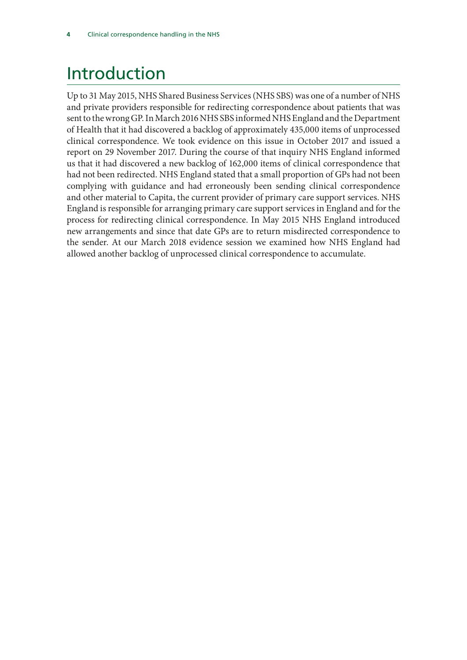# <span id="page-5-0"></span>Introduction

Up to 31 May 2015, NHS Shared Business Services (NHS SBS) was one of a number of NHS and private providers responsible for redirecting correspondence about patients that was sent to the wrong GP. In March 2016 NHS SBS informed NHS England and the Department of Health that it had discovered a backlog of approximately 435,000 items of unprocessed clinical correspondence. We took evidence on this issue in October 2017 and issued a report on 29 November 2017. During the course of that inquiry NHS England informed us that it had discovered a new backlog of 162,000 items of clinical correspondence that had not been redirected. NHS England stated that a small proportion of GPs had not been complying with guidance and had erroneously been sending clinical correspondence and other material to Capita, the current provider of primary care support services. NHS England is responsible for arranging primary care support services in England and for the process for redirecting clinical correspondence. In May 2015 NHS England introduced new arrangements and since that date GPs are to return misdirected correspondence to the sender. At our March 2018 evidence session we examined how NHS England had allowed another backlog of unprocessed clinical correspondence to accumulate.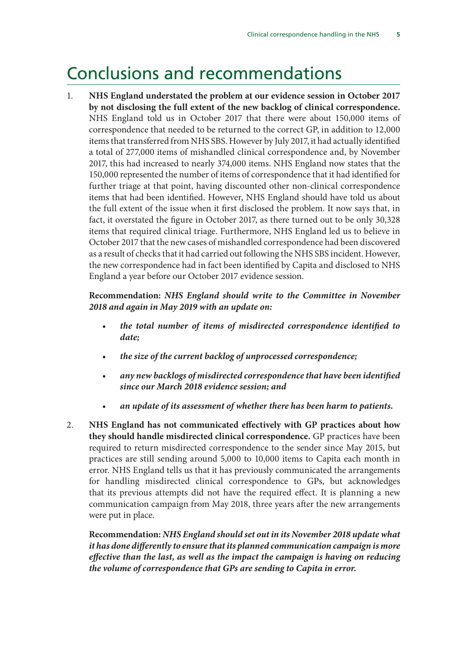### <span id="page-6-0"></span>Conclusions and recommendations

1. **NHS England understated the problem at our evidence session in October 2017 by not disclosing the full extent of the new backlog of clinical correspondence.** NHS England told us in October 2017 that there were about 150,000 items of correspondence that needed to be returned to the correct GP, in addition to 12,000 items that transferred from NHS SBS. However by July 2017, it had actually identified a total of 277,000 items of mishandled clinical correspondence and, by November 2017, this had increased to nearly 374,000 items. NHS England now states that the 150,000 represented the number of items of correspondence that it had identified for further triage at that point, having discounted other non-clinical correspondence items that had been identified. However, NHS England should have told us about the full extent of the issue when it first disclosed the problem. It now says that, in fact, it overstated the figure in October 2017, as there turned out to be only 30,328 items that required clinical triage. Furthermore, NHS England led us to believe in October 2017 that the new cases of mishandled correspondence had been discovered as a result of checks that it had carried out following the NHS SBS incident. However, the new correspondence had in fact been identified by Capita and disclosed to NHS England a year before our October 2017 evidence session.

**Recommendation:** *NHS England should write to the Committee in November 2018 and again in May 2019 with an update on:*

- *the total number of items of misdirected correspondence identified to date;*
- *the size of the current backlog of unprocessed correspondence;*
- *any new backlogs of misdirected correspondence that have been identified since our March 2018 evidence session; and*
- *an update of its assessment of whether there has been harm to patients.*
- 2. **NHS England has not communicated effectively with GP practices about how they should handle misdirected clinical correspondence.** GP practices have been required to return misdirected correspondence to the sender since May 2015, but practices are still sending around 5,000 to 10,000 items to Capita each month in error. NHS England tells us that it has previously communicated the arrangements for handling misdirected clinical correspondence to GPs, but acknowledges that its previous attempts did not have the required effect. It is planning a new communication campaign from May 2018, three years after the new arrangements were put in place.

**Recommendation:** *NHS England should set out in its November 2018 update what it has done differently to ensure that its planned communication campaign is more effective than the last, as well as the impact the campaign is having on reducing the volume of correspondence that GPs are sending to Capita in error.*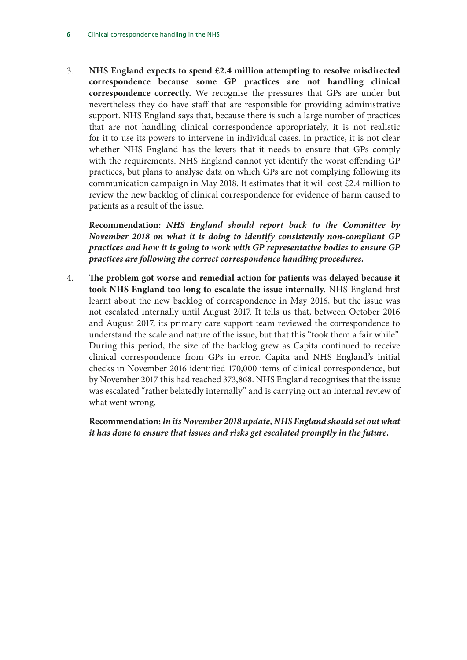3. **NHS England expects to spend £2.4 million attempting to resolve misdirected correspondence because some GP practices are not handling clinical correspondence correctly.** We recognise the pressures that GPs are under but nevertheless they do have staff that are responsible for providing administrative support. NHS England says that, because there is such a large number of practices that are not handling clinical correspondence appropriately, it is not realistic for it to use its powers to intervene in individual cases. In practice, it is not clear whether NHS England has the levers that it needs to ensure that GPs comply with the requirements. NHS England cannot yet identify the worst offending GP practices, but plans to analyse data on which GPs are not complying following its communication campaign in May 2018. It estimates that it will cost £2.4 million to review the new backlog of clinical correspondence for evidence of harm caused to patients as a result of the issue.

**Recommendation:** *NHS England should report back to the Committee by November 2018 on what it is doing to identify consistently non-compliant GP practices and how it is going to work with GP representative bodies to ensure GP practices are following the correct correspondence handling procedures.*

4. **The problem got worse and remedial action for patients was delayed because it took NHS England too long to escalate the issue internally.** NHS England first learnt about the new backlog of correspondence in May 2016, but the issue was not escalated internally until August 2017. It tells us that, between October 2016 and August 2017, its primary care support team reviewed the correspondence to understand the scale and nature of the issue, but that this "took them a fair while". During this period, the size of the backlog grew as Capita continued to receive clinical correspondence from GPs in error. Capita and NHS England's initial checks in November 2016 identified 170,000 items of clinical correspondence, but by November 2017 this had reached 373,868. NHS England recognises that the issue was escalated "rather belatedly internally" and is carrying out an internal review of what went wrong.

**Recommendation:** *In its November 2018 update, NHS England should set out what it has done to ensure that issues and risks get escalated promptly in the future.*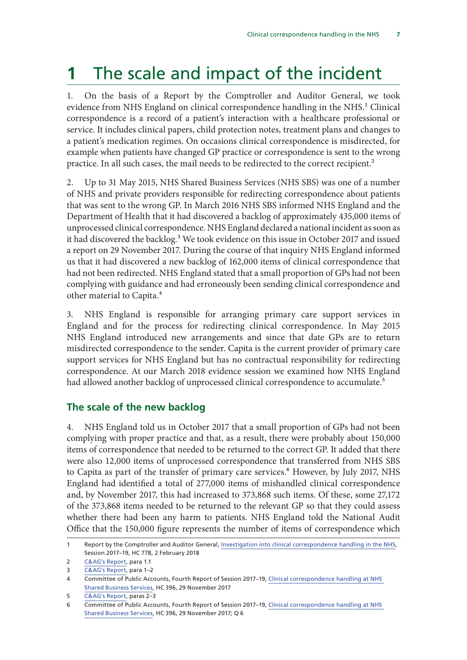# <span id="page-8-0"></span>**1** The scale and impact of the incident

1. On the basis of a Report by the Comptroller and Auditor General, we took evidence from NHS England on clinical correspondence handling in the NHS.<sup>1</sup> Clinical correspondence is a record of a patient's interaction with a healthcare professional or service. It includes clinical papers, child protection notes, treatment plans and changes to a patient's medication regimes. On occasions clinical correspondence is misdirected, for example when patients have changed GP practice or correspondence is sent to the wrong practice. In all such cases, the mail needs to be redirected to the correct recipient.<sup>2</sup>

2. Up to 31 May 2015, NHS Shared Business Services (NHS SBS) was one of a number of NHS and private providers responsible for redirecting correspondence about patients that was sent to the wrong GP. In March 2016 NHS SBS informed NHS England and the Department of Health that it had discovered a backlog of approximately 435,000 items of unprocessed clinical correspondence. NHS England declared a national incident as soon as it had discovered the backlog.<sup>3</sup> We took evidence on this issue in October 2017 and issued a report on 29 November 2017. During the course of that inquiry NHS England informed us that it had discovered a new backlog of 162,000 items of clinical correspondence that had not been redirected. NHS England stated that a small proportion of GPs had not been complying with guidance and had erroneously been sending clinical correspondence and other material to Capita.<sup>4</sup>

3. NHS England is responsible for arranging primary care support services in England and for the process for redirecting clinical correspondence. In May 2015 NHS England introduced new arrangements and since that date GPs are to return misdirected correspondence to the sender. Capita is the current provider of primary care support services for NHS England but has no contractual responsibility for redirecting correspondence. At our March 2018 evidence session we examined how NHS England had allowed another backlog of unprocessed clinical correspondence to accumulate.<sup>5</sup>

### **The scale of the new backlog**

4. NHS England told us in October 2017 that a small proportion of GPs had not been complying with proper practice and that, as a result, there were probably about 150,000 items of correspondence that needed to be returned to the correct GP. It added that there were also 12,000 items of unprocessed correspondence that transferred from NHS SBS to Capita as part of the transfer of primary care services.<sup>6</sup> However, by July 2017, NHS England had identified a total of 277,000 items of mishandled clinical correspondence and, by November 2017, this had increased to 373,868 such items. Of these, some 27,172 of the 373,868 items needed to be returned to the relevant GP so that they could assess whether there had been any harm to patients. NHS England told the National Audit Office that the 150,000 figure represents the number of items of correspondence which

<sup>1</sup> Report by the Comptroller and Auditor General, [Investigation into clinical correspondence handling in the NHS](https://www.nao.org.uk/wp-content/uploads/2018/02/Investigation-into-clinical-correspondence-handling-in-the-NHS.pdf), Session 2017–19, HC 778, 2 February 2018

<sup>2</sup> [C&AG's Report,](https://www.nao.org.uk/wp-content/uploads/2018/02/Investigation-into-clinical-correspondence-handling-in-the-NHS.pdf) para 1.1

<sup>3</sup> [C&AG's Report,](https://www.nao.org.uk/wp-content/uploads/2018/02/Investigation-into-clinical-correspondence-handling-in-the-NHS.pdf) para 1–2

<sup>4</sup> Committee of Public Accounts, Fourth Report of Session 2017–19, [Clinical correspondence handling at NHS](https://publications.parliament.uk/pa/cm201719/cmselect/cmpubacc/396/396.pdf)  [Shared Business Services,](https://publications.parliament.uk/pa/cm201719/cmselect/cmpubacc/396/396.pdf) HC 396, 29 November 2017

<sup>5</sup> [C&AG's Report,](https://www.nao.org.uk/wp-content/uploads/2018/02/Investigation-into-clinical-correspondence-handling-in-the-NHS.pdf) paras 2–3

<sup>6</sup> Committee of Public Accounts, Fourth Report of Session 2017–19, [Clinical correspondence handling at NHS](https://publications.parliament.uk/pa/cm201719/cmselect/cmpubacc/396/396.pdf)  [Shared Business Services,](https://publications.parliament.uk/pa/cm201719/cmselect/cmpubacc/396/396.pdf) HC 396, 29 November 2017; Q 6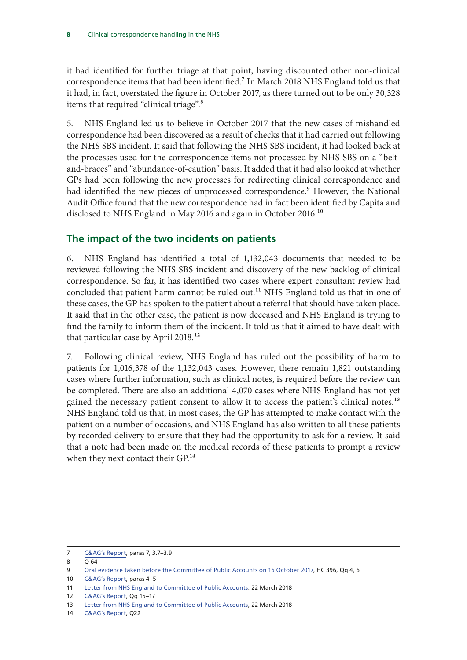<span id="page-9-0"></span>it had identified for further triage at that point, having discounted other non-clinical correspondence items that had been identified.7 In March 2018 NHS England told us that it had, in fact, overstated the figure in October 2017, as there turned out to be only 30,328 items that required "clinical triage".8

5. NHS England led us to believe in October 2017 that the new cases of mishandled correspondence had been discovered as a result of checks that it had carried out following the NHS SBS incident. It said that following the NHS SBS incident, it had looked back at the processes used for the correspondence items not processed by NHS SBS on a "beltand-braces" and "abundance-of-caution" basis. It added that it had also looked at whether GPs had been following the new processes for redirecting clinical correspondence and had identified the new pieces of unprocessed correspondence.<sup>9</sup> However, the National Audit Office found that the new correspondence had in fact been identified by Capita and disclosed to NHS England in May 2016 and again in October 2016.<sup>10</sup>

### **The impact of the two incidents on patients**

6. NHS England has identified a total of 1,132,043 documents that needed to be reviewed following the NHS SBS incident and discovery of the new backlog of clinical correspondence. So far, it has identified two cases where expert consultant review had concluded that patient harm cannot be ruled out.<sup>11</sup> NHS England told us that in one of these cases, the GP has spoken to the patient about a referral that should have taken place. It said that in the other case, the patient is now deceased and NHS England is trying to find the family to inform them of the incident. It told us that it aimed to have dealt with that particular case by April 2018.<sup>12</sup>

7. Following clinical review, NHS England has ruled out the possibility of harm to patients for 1,016,378 of the 1,132,043 cases. However, there remain 1,821 outstanding cases where further information, such as clinical notes, is required before the review can be completed. There are also an additional 4,070 cases where NHS England has not yet gained the necessary patient consent to allow it to access the patient's clinical notes.<sup>13</sup> NHS England told us that, in most cases, the GP has attempted to make contact with the patient on a number of occasions, and NHS England has also written to all these patients by recorded delivery to ensure that they had the opportunity to ask for a review. It said that a note had been made on the medical records of these patients to prompt a review when they next contact their GP.<sup>14</sup>

<sup>7</sup> [C&AG's Report,](https://www.nao.org.uk/wp-content/uploads/2018/02/Investigation-into-clinical-correspondence-handling-in-the-NHS.pdf) paras 7, 3.7–3.9

 $8 \overline{0.64}$ 

<sup>9</sup> [Oral evidence taken before the Committee of Public Accounts on 16 October 2017,](http://data.parliament.uk/writtenevidence/committeeevidence.svc/evidencedocument/public-accounts-committee/clinical-correspondence-handling-at-nhs-shared-business-services/oral/71531.pdf) HC 396, Qq 4, 6

<sup>10</sup> [C&AG's Report,](https://www.nao.org.uk/wp-content/uploads/2018/02/Investigation-into-clinical-correspondence-handling-in-the-NHS.pdf) paras 4–5

<sup>11</sup> [Letter from NHS England to Committee of Public Accounts](https://www.parliament.uk/business/committees/committees-a-z/commons-select/public-accounts-committee/inquiries/parliament-2017/nhs-correspondence-handling-17-19/publications/), 22 March 2018

<sup>12</sup> [C&AG's Report,](https://www.nao.org.uk/wp-content/uploads/2018/02/Investigation-into-clinical-correspondence-handling-in-the-NHS.pdf) Qq 15–17

<sup>13</sup> [Letter from NHS England to Committee of Public Accounts](https://www.parliament.uk/business/committees/committees-a-z/commons-select/public-accounts-committee/inquiries/parliament-2017/nhs-correspondence-handling-17-19/publications/), 22 March 2018

<sup>14</sup> [C&AG's Report,](https://www.nao.org.uk/wp-content/uploads/2018/02/Investigation-into-clinical-correspondence-handling-in-the-NHS.pdf) Q22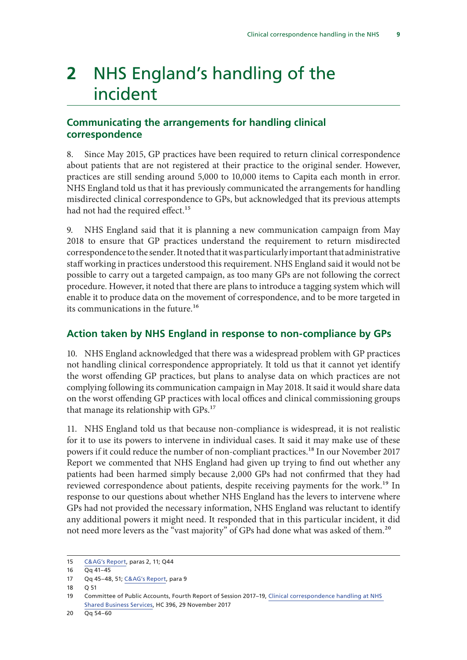# <span id="page-10-0"></span>**2** NHS England's handling of the incident

### **Communicating the arrangements for handling clinical correspondence**

8. Since May 2015, GP practices have been required to return clinical correspondence about patients that are not registered at their practice to the original sender. However, practices are still sending around 5,000 to 10,000 items to Capita each month in error. NHS England told us that it has previously communicated the arrangements for handling misdirected clinical correspondence to GPs, but acknowledged that its previous attempts had not had the required effect.<sup>15</sup>

9. NHS England said that it is planning a new communication campaign from May 2018 to ensure that GP practices understand the requirement to return misdirected correspondence to the sender. It noted that it was particularly important that administrative staff working in practices understood this requirement. NHS England said it would not be possible to carry out a targeted campaign, as too many GPs are not following the correct procedure. However, it noted that there are plans to introduce a tagging system which will enable it to produce data on the movement of correspondence, and to be more targeted in its communications in the future.16

### **Action taken by NHS England in response to non-compliance by GPs**

10. NHS England acknowledged that there was a widespread problem with GP practices not handling clinical correspondence appropriately. It told us that it cannot yet identify the worst offending GP practices, but plans to analyse data on which practices are not complying following its communication campaign in May 2018. It said it would share data on the worst offending GP practices with local offices and clinical commissioning groups that manage its relationship with GPs.<sup>17</sup>

11. NHS England told us that because non-compliance is widespread, it is not realistic for it to use its powers to intervene in individual cases. It said it may make use of these powers if it could reduce the number of non-compliant practices.<sup>18</sup> In our November 2017 Report we commented that NHS England had given up trying to find out whether any patients had been harmed simply because 2,000 GPs had not confirmed that they had reviewed correspondence about patients, despite receiving payments for the work.<sup>19</sup> In response to our questions about whether NHS England has the levers to intervene where GPs had not provided the necessary information, NHS England was reluctant to identify any additional powers it might need. It responded that in this particular incident, it did not need more levers as the "vast majority" of GPs had done what was asked of them.<sup>20</sup>

<sup>15</sup> [C&AG's Report,](https://www.nao.org.uk/wp-content/uploads/2018/02/Investigation-into-clinical-correspondence-handling-in-the-NHS.pdf) paras 2, 11; Q44

<sup>16</sup> Qq 41–45

<sup>17</sup> Qq 45–48, 51; [C&AG's Report,](https://www.nao.org.uk/wp-content/uploads/2018/02/Investigation-into-clinical-correspondence-handling-in-the-NHS.pdf) para 9

<sup>18</sup> Q 51

<sup>19</sup> Committee of Public Accounts, Fourth Report of Session 2017–19, [Clinical correspondence handling at NHS](https://publications.parliament.uk/pa/cm201719/cmselect/cmpubacc/396/396.pdf)  [Shared Business Services,](https://publications.parliament.uk/pa/cm201719/cmselect/cmpubacc/396/396.pdf) HC 396, 29 November 2017

<sup>20</sup> Qq 54–60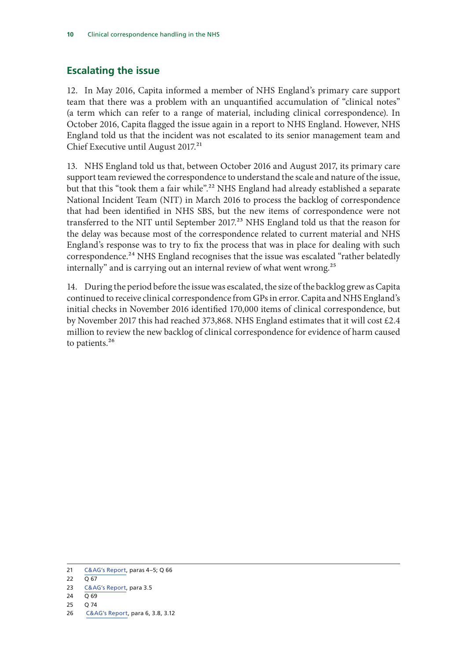### <span id="page-11-0"></span>**Escalating the issue**

12. In May 2016, Capita informed a member of NHS England's primary care support team that there was a problem with an unquantified accumulation of "clinical notes" (a term which can refer to a range of material, including clinical correspondence). In October 2016, Capita flagged the issue again in a report to NHS England. However, NHS England told us that the incident was not escalated to its senior management team and Chief Executive until August 2017.<sup>21</sup>

13. NHS England told us that, between October 2016 and August 2017, its primary care support team reviewed the correspondence to understand the scale and nature of the issue, but that this "took them a fair while".<sup>22</sup> NHS England had already established a separate National Incident Team (NIT) in March 2016 to process the backlog of correspondence that had been identified in NHS SBS, but the new items of correspondence were not transferred to the NIT until September 2017.<sup>23</sup> NHS England told us that the reason for the delay was because most of the correspondence related to current material and NHS England's response was to try to fix the process that was in place for dealing with such correspondence.<sup>24</sup> NHS England recognises that the issue was escalated "rather belatedly internally" and is carrying out an internal review of what went wrong.<sup>25</sup>

14. During the period before the issue was escalated, the size of the backlog grew as Capita continued to receive clinical correspondence from GPs in error. Capita and NHS England's initial checks in November 2016 identified 170,000 items of clinical correspondence, but by November 2017 this had reached 373,868. NHS England estimates that it will cost £2.4 million to review the new backlog of clinical correspondence for evidence of harm caused to patients.<sup>26</sup>

25 Q 74

<sup>21</sup> [C&AG's Report,](https://www.nao.org.uk/wp-content/uploads/2018/02/Investigation-into-clinical-correspondence-handling-in-the-NHS.pdf) paras 4–5; Q 66

<sup>22</sup>  $\overline{Q}$  67

<sup>23</sup> [C&AG's Report,](https://www.nao.org.uk/wp-content/uploads/2018/02/Investigation-into-clinical-correspondence-handling-in-the-NHS.pdf) para 3.5

<sup>24</sup>  $\overline{O}$  69

<sup>26</sup> [C&AG's Report,](https://www.nao.org.uk/wp-content/uploads/2018/02/Investigation-into-clinical-correspondence-handling-in-the-NHS.pdf) para 6, 3.8, 3.12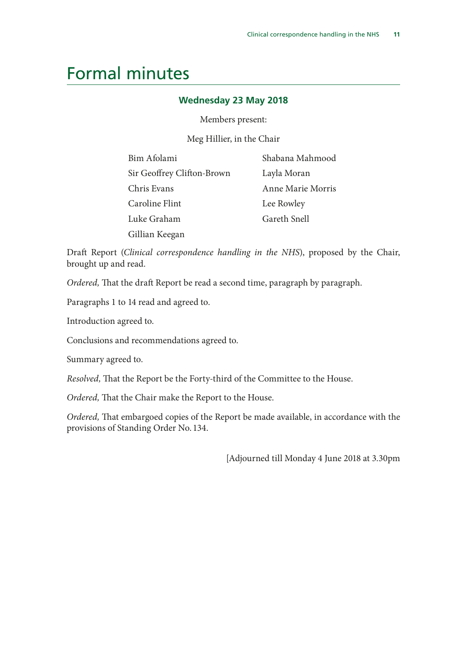### <span id="page-12-0"></span>Formal minutes

### **Wednesday 23 May 2018**

Members present:

Meg Hillier, in the Chair

| Bim Afolami                | Shabana Mahmood   |
|----------------------------|-------------------|
| Sir Geoffrey Clifton-Brown | Layla Moran       |
| Chris Evans                | Anne Marie Morris |
| Caroline Flint             | Lee Rowley        |
| Luke Graham                | Gareth Snell      |
| Gillian Keegan             |                   |

Draft Report (*Clinical correspondence handling in the NHS*), proposed by the Chair, brought up and read.

*Ordered,* That the draft Report be read a second time, paragraph by paragraph.

Paragraphs 1 to 14 read and agreed to.

Introduction agreed to.

Conclusions and recommendations agreed to.

Summary agreed to.

*Resolved,* That the Report be the Forty-third of the Committee to the House.

*Ordered,* That the Chair make the Report to the House.

*Ordered,* That embargoed copies of the Report be made available, in accordance with the provisions of Standing Order No. 134.

[Adjourned till Monday 4 June 2018 at 3.30pm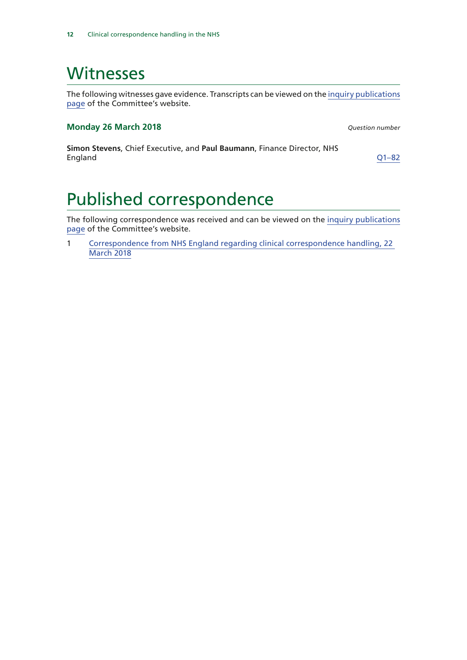## <span id="page-13-0"></span>**Witnesses**

The following witnesses gave evidence. Transcripts can be viewed on the [inquiry publications](https://www.parliament.uk/business/committees/committees-a-z/commons-select/public-accounts-committee/inquiries/parliament-2017/nhs-correspondence-handling-17-19/publications/) [page](https://www.parliament.uk/business/committees/committees-a-z/commons-select/public-accounts-committee/inquiries/parliament-2017/nhs-correspondence-handling-17-19/publications/) of the Committee's website.

#### **Monday 26 March 2018** *Question number*

**Simon Stevens**, Chief Executive, and **Paul Baumann**, Finance Director, NHS England [Q1–82](http://data.parliament.uk/writtenevidence/committeeevidence.svc/evidencedocument/public-accounts-committee/nhs-correspondence-handling/oral/80868.html)

# Published correspondence

The following correspondence was received and can be viewed on the [inquiry publications](https://www.parliament.uk/business/committees/committees-a-z/commons-select/public-accounts-committee/inquiries/parliament-2017/nhs-correspondence-handling-17-19/publications/) [page](https://www.parliament.uk/business/committees/committees-a-z/commons-select/public-accounts-committee/inquiries/parliament-2017/nhs-correspondence-handling-17-19/publications/) of the Committee's website.

1 [Correspondence from NHS England regarding clinical correspondence handling, 22](https://www.parliament.uk/documents/commons-committees/public-accounts/Correspondence/2017-19/nhs-england-correspondence-handling-220318.pdf)  [March 2018](https://www.parliament.uk/documents/commons-committees/public-accounts/Correspondence/2017-19/nhs-england-correspondence-handling-220318.pdf)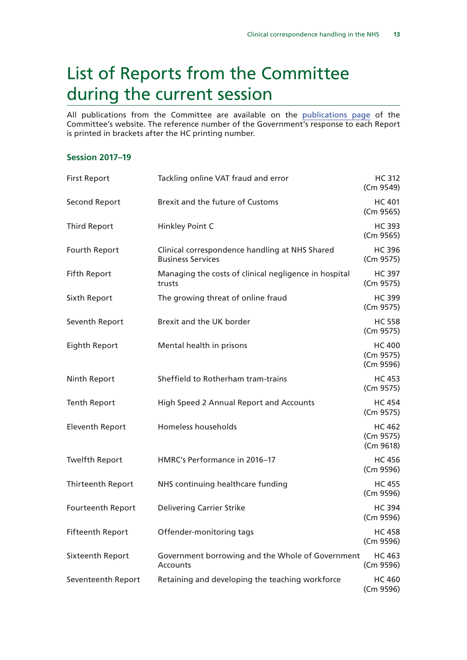# <span id="page-14-0"></span>List of Reports from the Committee during the current session

All publications from the Committee are available on the [publications page](https://www.parliament.uk/business/committees/committees-a-z/commons-select/public-accounts-committee/publications/) of the Committee's website. The reference number of the Government's response to each Report is printed in brackets after the HC printing number.

### **Session 2017–19**

| <b>First Report</b>     | Tackling online VAT fraud and error                                        | <b>HC 312</b><br>(Cm 9549)              |
|-------------------------|----------------------------------------------------------------------------|-----------------------------------------|
| Second Report           | Brexit and the future of Customs                                           | <b>HC 401</b><br>(Cm 9565)              |
| <b>Third Report</b>     | Hinkley Point C                                                            | <b>HC 393</b><br>(Cm 9565)              |
| Fourth Report           | Clinical correspondence handling at NHS Shared<br><b>Business Services</b> | <b>HC 396</b><br>(Cm 9575)              |
| <b>Fifth Report</b>     | Managing the costs of clinical negligence in hospital<br>trusts            | <b>HC 397</b><br>(Cm 9575)              |
| Sixth Report            | The growing threat of online fraud                                         | <b>HC 399</b><br>(Cm 9575)              |
| Seventh Report          | Brexit and the UK border                                                   | <b>HC 558</b><br>(Cm 9575)              |
| Eighth Report           | Mental health in prisons                                                   | <b>HC 400</b><br>(Cm 9575)<br>(Cm 9596) |
| Ninth Report            | Sheffield to Rotherham tram-trains                                         | <b>HC 453</b><br>(Cm 9575)              |
| <b>Tenth Report</b>     | High Speed 2 Annual Report and Accounts                                    | <b>HC 454</b><br>(Cm 9575)              |
| <b>Eleventh Report</b>  | Homeless households                                                        | <b>HC 462</b><br>(Cm 9575)<br>(Cm 9618) |
| <b>Twelfth Report</b>   | HMRC's Performance in 2016-17                                              | <b>HC 456</b><br>(Cm 9596)              |
| Thirteenth Report       | NHS continuing healthcare funding                                          | <b>HC 455</b><br>(Cm 9596)              |
| Fourteenth Report       | <b>Delivering Carrier Strike</b>                                           | <b>HC 394</b><br>(Cm 9596)              |
| <b>Fifteenth Report</b> | Offender-monitoring tags                                                   | <b>HC 458</b><br>(Cm 9596)              |
| Sixteenth Report        | Government borrowing and the Whole of Government<br>Accounts               | <b>HC 463</b><br>(Cm 9596)              |
| Seventeenth Report      | Retaining and developing the teaching workforce                            | <b>HC 460</b><br>(Cm 9596)              |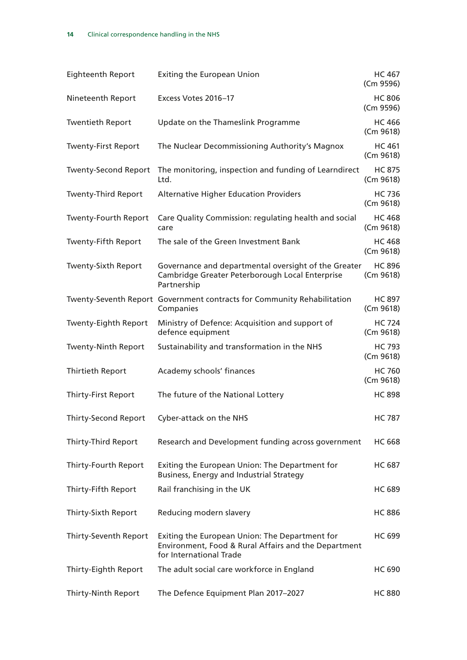| <b>Eighteenth Report</b>    | <b>Exiting the European Union</b>                                                                                                 | <b>HC 467</b><br>(Cm 9596) |
|-----------------------------|-----------------------------------------------------------------------------------------------------------------------------------|----------------------------|
| Nineteenth Report           | Excess Votes 2016-17                                                                                                              | <b>HC 806</b><br>(Cm 9596) |
| <b>Twentieth Report</b>     | Update on the Thameslink Programme                                                                                                | <b>HC 466</b><br>(Cm 9618) |
| <b>Twenty-First Report</b>  | The Nuclear Decommissioning Authority's Magnox                                                                                    | <b>HC 461</b><br>(Cm 9618) |
| <b>Twenty-Second Report</b> | The monitoring, inspection and funding of Learndirect<br>Ltd.                                                                     | <b>HC 875</b><br>(Cm 9618) |
| <b>Twenty-Third Report</b>  | <b>Alternative Higher Education Providers</b>                                                                                     | <b>HC 736</b><br>(Cm 9618) |
| <b>Twenty-Fourth Report</b> | Care Quality Commission: regulating health and social<br>care                                                                     | <b>HC 468</b><br>(Cm 9618) |
| <b>Twenty-Fifth Report</b>  | The sale of the Green Investment Bank                                                                                             | <b>HC 468</b><br>(Cm 9618) |
| <b>Twenty-Sixth Report</b>  | Governance and departmental oversight of the Greater<br>Cambridge Greater Peterborough Local Enterprise<br>Partnership            | <b>HC 896</b><br>(Cm 9618) |
|                             | Twenty-Seventh Report Government contracts for Community Rehabilitation<br>Companies                                              | <b>HC 897</b><br>(Cm 9618) |
| <b>Twenty-Eighth Report</b> | Ministry of Defence: Acquisition and support of<br>defence equipment                                                              | <b>HC 724</b><br>(Cm 9618) |
| <b>Twenty-Ninth Report</b>  | Sustainability and transformation in the NHS                                                                                      | <b>HC 793</b><br>(Cm 9618) |
| <b>Thirtieth Report</b>     | Academy schools' finances                                                                                                         | <b>HC 760</b><br>(Cm 9618) |
| <b>Thirty-First Report</b>  | The future of the National Lottery                                                                                                | <b>HC 898</b>              |
|                             | Thirty-Second Report Cyber-attack on the NHS                                                                                      | <b>HC 787</b>              |
| <b>Thirty-Third Report</b>  | Research and Development funding across government                                                                                | <b>HC 668</b>              |
| Thirty-Fourth Report        | Exiting the European Union: The Department for<br>Business, Energy and Industrial Strategy                                        | <b>HC 687</b>              |
| Thirty-Fifth Report         | Rail franchising in the UK                                                                                                        | <b>HC 689</b>              |
| Thirty-Sixth Report         | Reducing modern slavery                                                                                                           | <b>HC 886</b>              |
| Thirty-Seventh Report       | Exiting the European Union: The Department for<br>Environment, Food & Rural Affairs and the Department<br>for International Trade | <b>HC 699</b>              |
| Thirty-Eighth Report        | The adult social care workforce in England                                                                                        | <b>HC 690</b>              |
| Thirty-Ninth Report         | The Defence Equipment Plan 2017-2027                                                                                              | <b>HC 880</b>              |